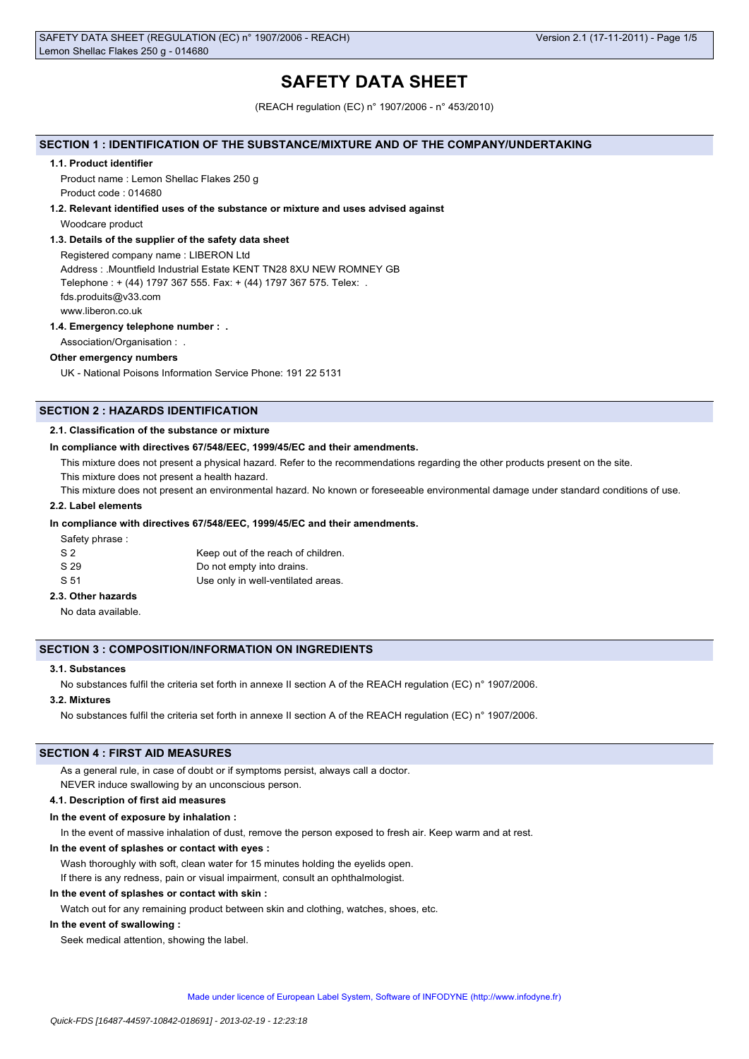# **SAFETY DATA SHEET**

(REACH regulation (EC) n° 1907/2006 - n° 453/2010)

### **SECTION 1 : IDENTIFICATION OF THE SUBSTANCE/MIXTURE AND OF THE COMPANY/UNDERTAKING**

#### **1.1. Product identifier**

Product name : Lemon Shellac Flakes 250 g Product code : 014680

#### **1.2. Relevant identified uses of the substance or mixture and uses advised against**

Woodcare product

### **1.3. Details of the supplier of the safety data sheet**

Registered company name : LIBERON Ltd Address : .Mountfield Industrial Estate KENT TN28 8XU NEW ROMNEY GB Telephone : + (44) 1797 367 555. Fax: + (44) 1797 367 575. Telex: . fds.produits@v33.com www.liberon.co.uk

#### **1.4. Emergency telephone number : .**

Association/Organisation : .

# **Other emergency numbers**

UK - National Poisons Information Service Phone: 191 22 5131

# **SECTION 2 : HAZARDS IDENTIFICATION**

## **2.1. Classification of the substance or mixture**

#### **In compliance with directives 67/548/EEC, 1999/45/EC and their amendments.**

This mixture does not present a physical hazard. Refer to the recommendations regarding the other products present on the site.

This mixture does not present a health hazard.

This mixture does not present an environmental hazard. No known or foreseeable environmental damage under standard conditions of use.

## **2.2. Label elements**

### **In compliance with directives 67/548/EEC, 1999/45/EC and their amendments.**

Safety phrase :

| S <sub>2</sub> | Keep out of the reach of children. |
|----------------|------------------------------------|
| S 29           | Do not empty into drains.          |
| S 51           | Use only in well-ventilated areas. |

# **2.3. Other hazards**

No data available.

#### **SECTION 3 : COMPOSITION/INFORMATION ON INGREDIENTS**

## **3.1. Substances**

No substances fulfil the criteria set forth in annexe II section A of the REACH regulation (EC) n° 1907/2006.

#### **3.2. Mixtures**

No substances fulfil the criteria set forth in annexe II section A of the REACH regulation (EC) n° 1907/2006.

# **SECTION 4 : FIRST AID MEASURES**

As a general rule, in case of doubt or if symptoms persist, always call a doctor.

NEVER induce swallowing by an unconscious person.

### **4.1. Description of first aid measures**

#### **In the event of exposure by inhalation :**

In the event of massive inhalation of dust, remove the person exposed to fresh air. Keep warm and at rest.

#### **In the event of splashes or contact with eyes :**

Wash thoroughly with soft, clean water for 15 minutes holding the eyelids open. If there is any redness, pain or visual impairment, consult an ophthalmologist.

#### **In the event of splashes or contact with skin :**

Watch out for any remaining product between skin and clothing, watches, shoes, etc.

#### **In the event of swallowing :**

Seek medical attention, showing the label.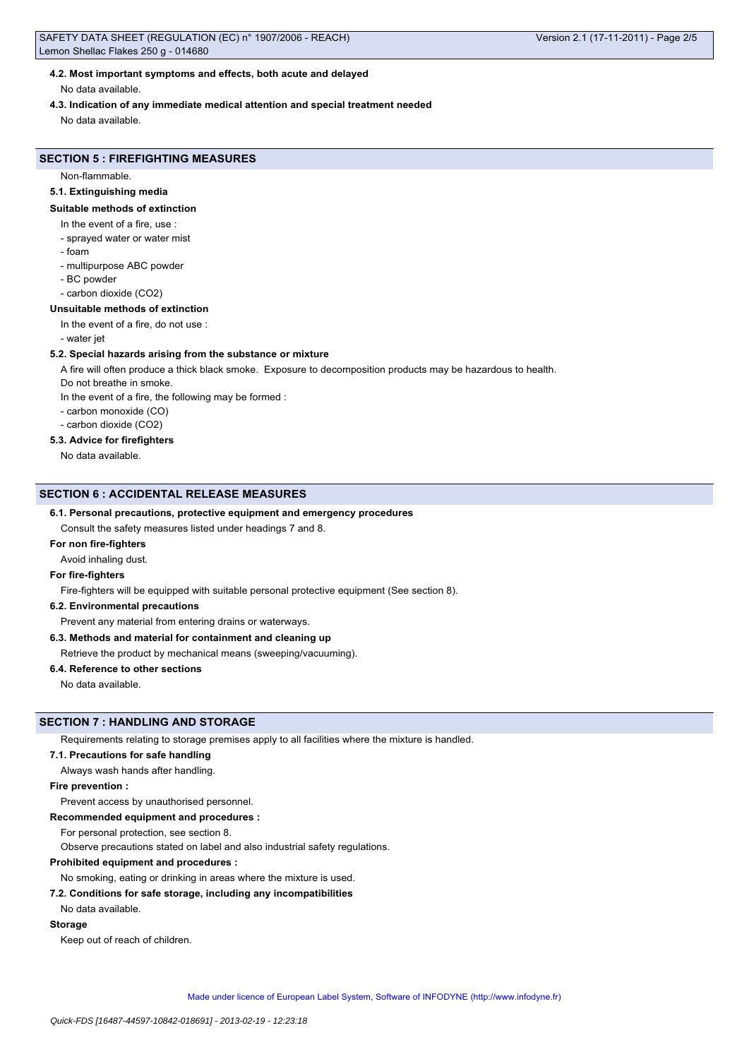# **4.2. Most important symptoms and effects, both acute and delayed**

No data available.

**4.3. Indication of any immediate medical attention and special treatment needed**

No data available.

# **SECTION 5 : FIREFIGHTING MEASURES**

Non-flammable.

## **5.1. Extinguishing media**

#### **Suitable methods of extinction**

- In the event of a fire, use :
- sprayed water or water mist
- foam
- multipurpose ABC powder
- BC powder
- carbon dioxide (CO2)

## **Unsuitable methods of extinction**

- In the event of a fire, do not use :
- water jet

### **5.2. Special hazards arising from the substance or mixture**

A fire will often produce a thick black smoke. Exposure to decomposition products may be hazardous to health.

- Do not breathe in smoke.
- In the event of a fire, the following may be formed :
- carbon monoxide (CO)
- carbon dioxide (CO2)

## **5.3. Advice for firefighters**

No data available.

## **SECTION 6 : ACCIDENTAL RELEASE MEASURES**

### **6.1. Personal precautions, protective equipment and emergency procedures**

Consult the safety measures listed under headings 7 and 8.

# **For non fire-fighters**

Avoid inhaling dust.

### **For fire-fighters**

Fire-fighters will be equipped with suitable personal protective equipment (See section 8).

## **6.2. Environmental precautions**

Prevent any material from entering drains or waterways.

#### **6.3. Methods and material for containment and cleaning up**

#### Retrieve the product by mechanical means (sweeping/vacuuming).

# **6.4. Reference to other sections**

No data available.

# **SECTION 7 : HANDLING AND STORAGE**

Requirements relating to storage premises apply to all facilities where the mixture is handled.

#### **7.1. Precautions for safe handling**

Always wash hands after handling.

## **Fire prevention :**

Prevent access by unauthorised personnel.

# **Recommended equipment and procedures :**

For personal protection, see section 8.

Observe precautions stated on label and also industrial safety regulations.

# **Prohibited equipment and procedures :**

No smoking, eating or drinking in areas where the mixture is used.

## **7.2. Conditions for safe storage, including any incompatibilities**

No data available.

## **Storage**

Keep out of reach of children.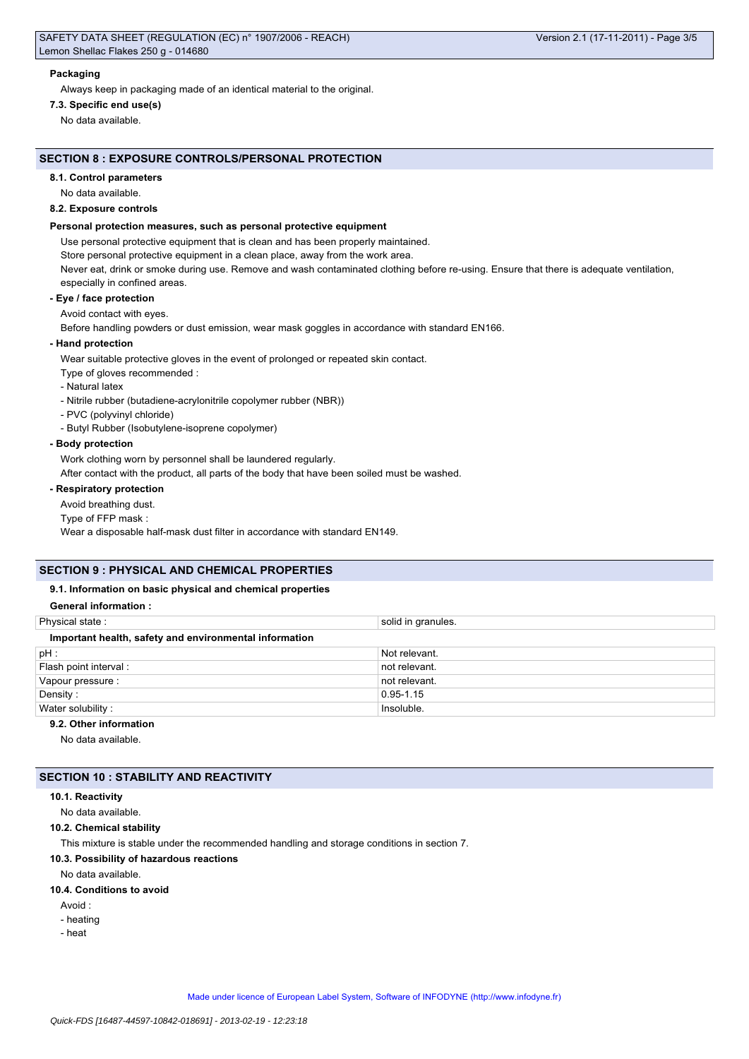## **Packaging**

Always keep in packaging made of an identical material to the original.

**7.3. Specific end use(s)** No data available.

# **SECTION 8 : EXPOSURE CONTROLS/PERSONAL PROTECTION**

### **8.1. Control parameters**

No data available.

#### **8.2. Exposure controls**

#### **Personal protection measures, such as personal protective equipment**

Use personal protective equipment that is clean and has been properly maintained.

Store personal protective equipment in a clean place, away from the work area.

Never eat, drink or smoke during use. Remove and wash contaminated clothing before re-using. Ensure that there is adequate ventilation, especially in confined areas.

#### **- Eye / face protection**

Avoid contact with eyes.

Before handling powders or dust emission, wear mask goggles in accordance with standard EN166.

## **- Hand protection**

Wear suitable protective gloves in the event of prolonged or repeated skin contact.

- Type of gloves recommended :
- Natural latex
- Nitrile rubber (butadiene-acrylonitrile copolymer rubber (NBR))
- PVC (polyvinyl chloride)
- Butyl Rubber (Isobutylene-isoprene copolymer)

#### **- Body protection**

Work clothing worn by personnel shall be laundered regularly.

After contact with the product, all parts of the body that have been soiled must be washed.

# **- Respiratory protection**

Avoid breathing dust.

Type of FFP mask :

Wear a disposable half-mask dust filter in accordance with standard EN149.

# **SECTION 9 : PHYSICAL AND CHEMICAL PROPERTIES**

## **9.1. Information on basic physical and chemical properties**

## **General information :**

| Physical state:                                        | solid in granules. |
|--------------------------------------------------------|--------------------|
| Important health, safety and environmental information |                    |
| $pH$ :                                                 | Not relevant.      |
| Flash point interval:                                  | not relevant.      |
| Vapour pressure :                                      | not relevant.      |
| Density:                                               | $0.95 - 1.15$      |
| Water solubility:                                      | Insoluble.         |
| 9.2. Other information                                 |                    |

No data available.

# **SECTION 10 : STABILITY AND REACTIVITY**

#### **10.1. Reactivity**

No data available.

**10.2. Chemical stability**

This mixture is stable under the recommended handling and storage conditions in section 7.

# **10.3. Possibility of hazardous reactions**

No data available.

## **10.4. Conditions to avoid**

- Avoid :
- heating
- heat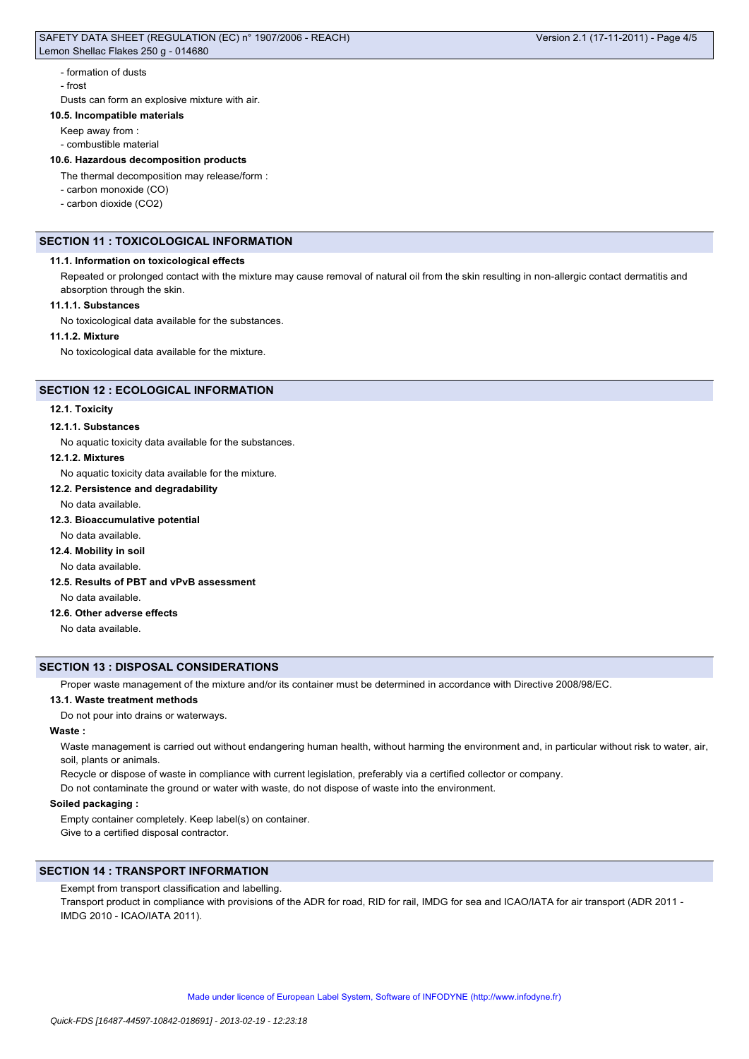## - formation of dusts

- frost

Dusts can form an explosive mixture with air.

## **10.5. Incompatible materials**

- Keep away from :
- combustible material

### **10.6. Hazardous decomposition products**

- The thermal decomposition may release/form :
- carbon monoxide (CO)
- carbon dioxide (CO2)

# **SECTION 11 : TOXICOLOGICAL INFORMATION**

## **11.1. Information on toxicological effects**

Repeated or prolonged contact with the mixture may cause removal of natural oil from the skin resulting in non-allergic contact dermatitis and absorption through the skin.

## **11.1.1. Substances**

No toxicological data available for the substances.

#### **11.1.2. Mixture**

No toxicological data available for the mixture.

#### **SECTION 12 : ECOLOGICAL INFORMATION**

## **12.1. Toxicity**

#### **12.1.1. Substances**

No aquatic toxicity data available for the substances.

#### **12.1.2. Mixtures**

No aquatic toxicity data available for the mixture.

**12.2. Persistence and degradability**

#### No data available.

# **12.3. Bioaccumulative potential**

No data available.

# **12.4. Mobility in soil**

No data available.

### **12.5. Results of PBT and vPvB assessment**

No data available.

#### **12.6. Other adverse effects**

No data available.

# **SECTION 13 : DISPOSAL CONSIDERATIONS**

Proper waste management of the mixture and/or its container must be determined in accordance with Directive 2008/98/EC.

#### **13.1. Waste treatment methods**

Do not pour into drains or waterways.

## **Waste :**

Waste management is carried out without endangering human health, without harming the environment and, in particular without risk to water, air, soil, plants or animals.

Recycle or dispose of waste in compliance with current legislation, preferably via a certified collector or company.

Do not contaminate the ground or water with waste, do not dispose of waste into the environment.

## **Soiled packaging :**

Empty container completely. Keep label(s) on container. Give to a certified disposal contractor.

# **SECTION 14 : TRANSPORT INFORMATION**

Exempt from transport classification and labelling.

Transport product in compliance with provisions of the ADR for road, RID for rail, IMDG for sea and ICAO/IATA for air transport (ADR 2011 -IMDG 2010 - ICAO/IATA 2011).